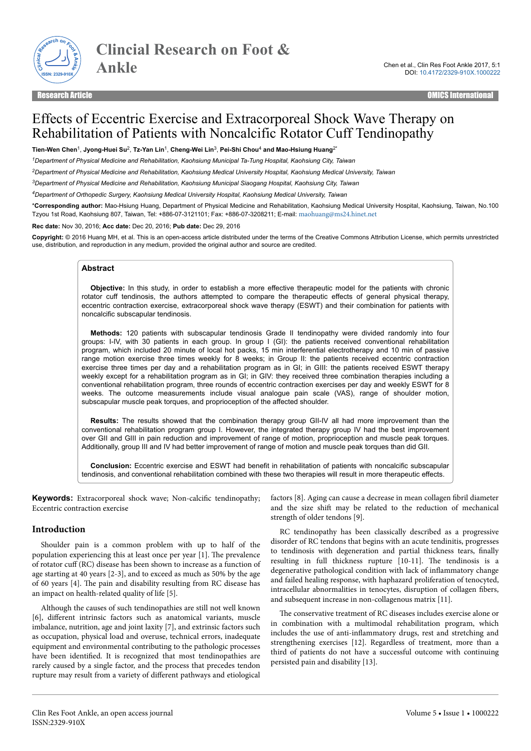

# Effects of Eccentric Exercise and Extracorporeal Shock Wave Therapy on Rehabilitation of Patients with Noncalcific Rotator Cuff Tendinopathy

 $\bf T$ ien-Wen Chen<sup>1</sup>, Jyong-Huei Su<sup>2</sup>, Tz-Yan Lin<sup>1</sup>, Cheng-Wei Lin<sup>3</sup>, Pei-Shi Chou<sup>4</sup> and Mao-Hsiung Huang $^{2*}$ 

*<sup>1</sup>Department of Physical Medicine and Rehabilitation, Kaohsiung Municipal Ta-Tung Hospital, Kaohsiung City, Taiwan*

*<sup>2</sup>Department of Physical Medicine and Rehabilitation, Kaohsiung Medical University Hospital, Kaohsiung Medical University, Taiwan*

*<sup>3</sup>Department of Physical Medicine and Rehabilitation, Kaohsiung Municipal Siaogang Hospital, Kaohsiung City, Taiwan*

*<sup>4</sup>Department of Orthopedic Surgery, Kaohsiung Medical University Hospital, Kaohsiung Medical University, Taiwan*

\***Corresponding author:** Mao-Hsiung Huang, Department of Physical Medicine and Rehabilitation, Kaohsiung Medical University Hospital, Kaohsiung, Taiwan, No.100 Tzyou 1st Road, Kaohsiung 807, Taiwan, Tel: +886-07-3121101; Fax: +886-07-3208211; E-mail: maohuang@ms24.hinet.net

**Rec date:** Nov 30, 2016; **Acc date:** Dec 20, 2016; **Pub date:** Dec 29, 2016

**Copyright:** © 2016 Huang MH, et al. This is an open-access article distributed under the terms of the Creative Commons Attribution License, which permits unrestricted use, distribution, and reproduction in any medium, provided the original author and source are credited.

#### **Abstract**

**Objective:** In this study, in order to establish a more effective therapeutic model for the patients with chronic rotator cuff tendinosis, the authors attempted to compare the therapeutic effects of general physical therapy, eccentric contraction exercise, extracorporeal shock wave therapy (ESWT) and their combination for patients with noncalcific subscapular tendinosis.

**Methods:** 120 patients with subscapular tendinosis Grade II tendinopathy were divided randomly into four groups: I-IV, with 30 patients in each group. In group I (GI): the patients received conventional rehabilitation program, which included 20 minute of local hot packs, 15 min interferential electrotherapy and 10 min of passive range motion exercise three times weekly for 8 weeks; in Group II: the patients received eccentric contraction exercise three times per day and a rehabilitation program as in GI; in GIII: the patients received ESWT therapy weekly except for a rehabilitation program as in GI; in GIV: they received three combination therapies including a conventional rehabilitation program, three rounds of eccentric contraction exercises per day and weekly ESWT for 8 weeks. The outcome measurements include visual analogue pain scale (VAS), range of shoulder motion, subscapular muscle peak torques, and proprioception of the affected shoulder.

**Results:** The results showed that the combination therapy group GII-IV all had more improvement than the conventional rehabilitation program group I. However, the integrated therapy group IV had the best improvement over GII and GIII in pain reduction and improvement of range of motion, proprioception and muscle peak torques. Additionally, group III and IV had better improvement of range of motion and muscle peak torques than did GII.

**Conclusion:** Eccentric exercise and ESWT had benefit in rehabilitation of patients with noncalcific subscapular tendinosis, and conventional rehabilitation combined with these two therapies will result in more therapeutic effects.

**Keywords:** Extracorporeal shock wave; Non-calcific tendinopathy; Eccentric contraction exercise

#### **Introduction**

Shoulder pain is a common problem with up to half of the population experiencing this at least once per year [1]. Нe prevalence of rotator cuff  $(RC)$  disease has been shown to increase as a function of age starting at 40 years [2-3], and to exceed as much as 50% by the age of 60 years [4]. Нe pain and disability resulting from RC disease has an impact on health-related quality of life [5].

Although the causes of such tendinopathies are still not well known [6], different intrinsic factors such as anatomical variants, muscle imbalance, nutrition, age and joint laxity [7], and extrinsic factors such as occupation, physical load and overuse, technical errors, inadequate equipment and environmental contributing to the pathologic processes have been identified. It is recognized that most tendinopathies are rarely caused by a single factor, and the process that precedes tendon rupture may result from a variety of different pathways and etiological

factors [8]. Aging can cause a decrease in mean collagen fibril diameter and the size shift may be related to the reduction of mechanical strength of older tendons [9].

RC tendinopathy has been classically described as a progressive disorder of RC tendons that begins with an acute tendinitis, progresses to tendinosis with degeneration and partial thickness tears, finally resulting in full thickness rupture [10-11]. Нe tendinosis is a degenerative pathological condition with lack of inflammatory change and failed healing response, with haphazard proliferation of tenocyted, intracellular abnormalities in tenocytes, disruption of collagen fibers, and subsequent increase in non-collagenous matrix [11].

The conservative treatment of RC diseases includes exercise alone or in combination with a multimodal rehabilitation program, which includes the use of anti-inflammatory drugs, rest and stretching and strengthening exercises [12]. Regardless of treatment, more than a third of patients do not have a successful outcome with continuing persisted pain and disability [13].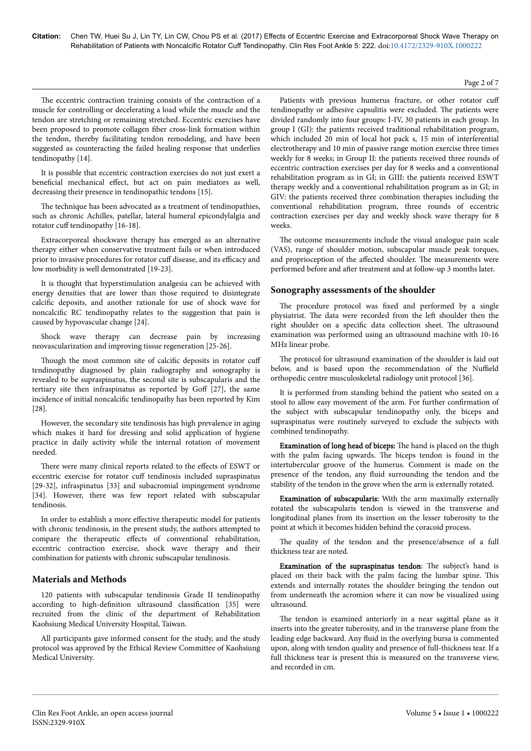#### Page 2 of 7

The eccentric contraction training consists of the contraction of a muscle for controlling or decelerating a load while the muscle and the tendon are stretching or remaining stretched. Eccentric exercises have been proposed to promote collagen fiber cross-link formation within the tendon, thereby facilitating tendon remodeling, and have been suggested as counteracting the failed healing response that underlies tendinopathy [14].

It is possible that eccentric contraction exercises do not just exert a beneficial mechanical effect, but act on pain mediators as well, decreasing their presence in tendinopathic tendons [15].

The technique has been advocated as a treatment of tendinopathies, such as chronic Achilles, patellar, lateral humeral epicondylalgia and rotator cuff tendinopathy  $[16-18]$ .

Extracorporeal shockwave therapy has emerged as an alternative therapy either when conservative treatment fails or when introduced prior to invasive procedures for rotator cuff disease, and its efficacy and low morbidity is well demonstrated [19-23].

It is thought that hyperstimulation analgesia can be achieved with energy densities that are lower than those required to disintegrate calcific deposits, and another rationale for use of shock wave for noncalcific RC tendinopathy relates to the suggestion that pain is caused by hypovascular change [24].

Shock wave therapy can decrease pain by increasing neovascularization and improving tissue regeneration [25-26].

Though the most common site of calcific deposits in rotator cuff tendinopathy diagnosed by plain radiography and sonography is revealed to be supraspinatus, the second site is subscapularis and the tertiary site then infraspinatus as reported by Goff  $[27]$ , the same incidence of initial noncalcific tendinopathy has been reported by Kim [28].

However, the secondary site tendinosis has high prevalence in aging which makes it hard for dressing and solid application of hygiene practice in daily activity while the internal rotation of movement needed.

There were many clinical reports related to the effects of ESWT or eccentric exercise for rotator cuff tendinosis included supraspinatus [29-32], infraspinatus [33] and subacromial impingement syndrome [34]. However, there was few report related with subscapular tendinosis.

In order to establish a more effective therapeutic model for patients with chronic tendinosis, in the present study, the authors attempted to compare the therapeutic effects of conventional rehabilitation, eccentric contraction exercise, shock wave therapy and their combination for patients with chronic subscapular tendinosis.

### **Materials and Methods**

120 patients with subscapular tendinosis Grade II tendinopathy according to high-definition ultrasound classification [35] were recruited from the clinic of the department of Rehabilitation Kaohsiung Medical University Hospital, Taiwan.

All participants gave informed consent for the study, and the study protocol was approved by the Ethical Review Committee of Kaohsiung Medical University.

Patients with previous humerus fracture, or other rotator cuff tendinopathy or adhesive capsulitis were excluded. Нe patients were divided randomly into four groups: I-IV, 30 patients in each group. In group I (GI): the patients received traditional rehabilitation program, which included 20 min of local hot pack s, 15 min of interferential electrotherapy and 10 min of passive range motion exercise three times weekly for 8 weeks; in Group II: the patients received three rounds of eccentric contraction exercises per day for 8 weeks and a conventional rehabilitation program as in GI; in GIII: the patients received ESWT therapy weekly and a conventional rehabilitation program as in GI; in GIV: the patients received three combination therapies including the conventional rehabilitation program, three rounds of eccentric contraction exercises per day and weekly shock wave therapy for 8 weeks.

The outcome measurements include the visual analogue pain scale (VAS), range of shoulder motion, subscapular muscle peak torques, and proprioception of the affected shoulder. The measurements were performed before and after treatment and at follow-up 3 months later.

### **Sonography assessments of the shoulder**

The procedure protocol was fixed and performed by a single physiatrist. The data were recorded from the left shoulder then the right shoulder on a specific data collection sheet. Нe ultrasound examination was performed using an ultrasound machine with 10-16 MHz linear probe.

The protocol for ultrasound examination of the shoulder is laid out below, and is based upon the recommendation of the Nuffield orthopedic centre musculoskeletal radiology unit protocol [36].

It is performed from standing behind the patient who seated on a stool to allow easy movement of the arm. For further confirmation of the subject with subscapular tendinopathy only, the biceps and supraspinatus were routinely surveyed to exclude the subjects with combined tendinopathy.

Examination of long head of biceps: Нe hand is placed on the thigh with the palm facing upwards. Нe biceps tendon is found in the intertubercular groove of the humerus. Comment is made on the presence of the tendon, any fluid surrounding the tendon and the stability of the tendon in the grove when the arm is externally rotated.

Examination of subscapularis: With the arm maximally externally rotated the subscapularis tendon is viewed in the transverse and longitudinal planes from its insertion on the lesser tuberosity to the point at which it becomes hidden behind the coracoid process.

The quality of the tendon and the presence/absence of a full thickness tear are noted.

Examination of the supraspinatus tendon: Нe subject's hand is placed on their back with the palm facing the lumbar spine. Нis extends and internally rotates the shoulder bringing the tendon out from underneath the acromion where it can now be visualized using ultrasound.

The tendon is examined anteriorly in a near sagittal plane as it inserts into the greater tuberosity, and in the transverse plane from the leading edge backward. Any fluid in the overlying bursa is commented upon, along with tendon quality and presence of full-thickness tear. If a full thickness tear is present this is measured on the transverse view, and recorded in cm.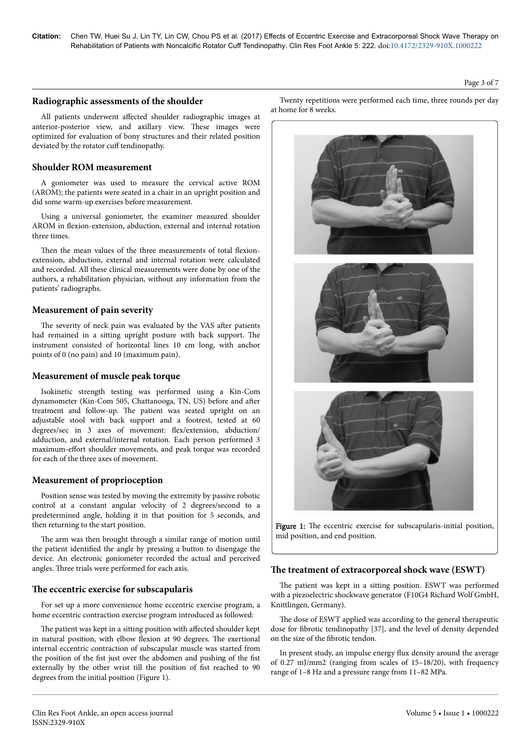### Page 3 of 7

### **Radiographic assessments of the shoulder**

All patients underwent affected shoulder radiographic images at anterior-posterior view, and axillary view. Нese images were optimized for evaluation of bony structures and their related position deviated by the rotator cuff tendinopathy.

### **Shoulder ROM measurement**

A goniometer was used to measure the cervical active ROM (AROM); the patients were seated in a chair in an upright position and did some warm-up exercises before measurement.

Using a universal goniometer, the examiner measured shoulder AROM in flexion-extension, abduction, external and internal rotation three times.

Then the mean values of the three measurements of total flexionextension, abduction, external and internal rotation were calculated and recorded. All these clinical measurements were done by one of the authors, a rehabilitation physician, without any information from the patients' radiographs.

### **Measurement of pain severity**

The severity of neck pain was evaluated by the VAS after patients had remained in a sitting upright posture with back support. Нe instrument consisted of horizontal lines 10 cm long, with anchor points of 0 (no pain) and 10 (maximum pain).

### **Measurement of muscle peak torque**

Isokinetic strength testing was performed using a Kin-Com dynamometer (Kin-Com 505, Chattanooga, TN, US) before and after treatment and follow-up. Нe patient was seated upright on an adjustable stool with back support and a footrest, tested at 60 degrees/sec in 3 axes of movement: flex/extension, abduction/ adduction, and external/internal rotation. Each person performed 3 maximum-effort shoulder movements, and peak torque was recorded for each of the three axes of movement.

# **Measurement of proprioception**

Position sense was tested by moving the extremity by passive robotic control at a constant angular velocity of 2 degrees/second to a predetermined angle, holding it in that position for 5 seconds, and then returning to the start position.

The arm was then brought through a similar range of motion until the patient identified the angle by pressing a button to disengage the device. An electronic goniometer recorded the actual and perceived angles. Нree trials were performed for each axis.

# **Нe eccentric exercise for subscapularis**

For set up a more convenience home eccentric exercise program, a home eccentric contraction exercise program introduced as followed:

The patient was kept in a sitting position with affected shoulder kept in natural position, with elbow flexion at 90 degrees. Нe exertional internal eccentric contraction of subscapular muscle was started from the position of the fist just over the abdomen and pushing of the fist externally by the other wrist till the position of fist reached to 90 degrees from the initial position (Figure 1).

Twenty repetitions were performed each time, three rounds per day at home for 8 weeks.



Figure 1: The eccentric exercise for subscapularis-initial position, mid position, and end position.

### **Нe treatment of extracorporeal shock wave (ESWT)**

The patient was kept in a sitting position. ESWT was performed with a piezoelectric shockwave generator (F10G4 Richard Wolf GmbH, Knittlingen, Germany).

The dose of ESWT applied was according to the general therapeutic dose for fibrotic tendinopathy [37], and the level of density depended on the size of the fibrotic tendon.

In present study, an impulse energy flux density around the average of 0.27 mJ/mm2 (ranging from scales of 15–18/20), with frequency range of 1–8 Hz and a pressure range from 11–82 MPa.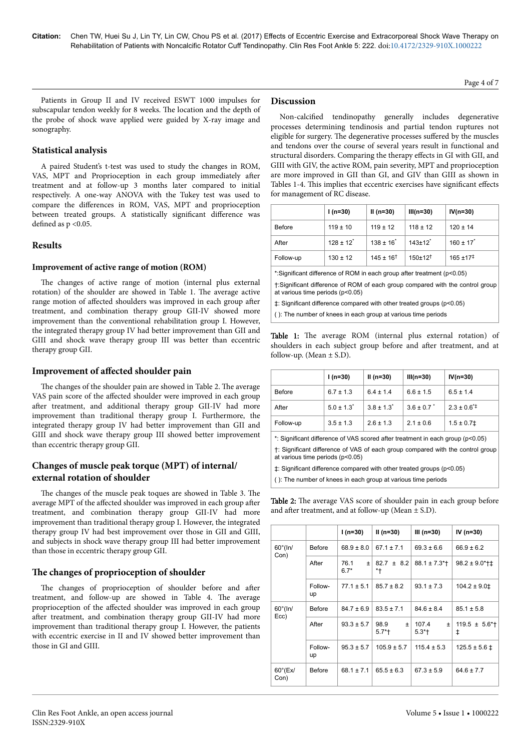Page 4 of 7

Patients in Group II and IV received ESWT 1000 impulses for subscapular tendon weekly for 8 weeks. Нe location and the depth of the probe of shock wave applied were guided by X-ray image and sonography.

### **Statistical analysis**

A paired Student's t-test was used to study the changes in ROM, VAS, MPT and Proprioception in each group immediately after treatment and at follow-up 3 months later compared to initial respectively. A one-way ANOVA with the Tukey test was used to compare the differences in ROM, VAS, MPT and proprioception between treated groups. A statistically significant difference was defined as  $p < 0.05$ .

### **Results**

### **Improvement of active range of motion (ROM)**

The changes of active range of motion (internal plus external rotation) of the shoulder are showed in Table 1. Нe average active range motion of affected shoulders was improved in each group after treatment, and combination therapy group GII-IV showed more improvement than the conventional rehabilitation group I. However, the integrated therapy group IV had better improvement than GII and GIII and shock wave therapy group III was better than eccentric therapy group GII.

### **Improvement of affected shoulder pain**

The changes of the shoulder pain are showed in Table 2. The average VAS pain score of the affected shoulder were improved in each group after treatment, and additional therapy group GII-IV had more improvement than traditional therapy group I. Furthermore, the integrated therapy group IV had better improvement than GII and GIII and shock wave therapy group III showed better improvement than eccentric therapy group GII.

### **Changes of muscle peak torque (MPT) of internal/ external rotation of shoulder**

The changes of the muscle peak toques are showed in Table 3. The average MPT of the affected shoulder was improved in each group after treatment, and combination therapy group GII-IV had more improvement than traditional therapy group I. However, the integrated therapy group IV had best improvement over those in GII and GIII, and subjects in shock wave therapy group III had better improvement than those in eccentric therapy group GII.

### **Нe changes of proprioception of shoulder**

The changes of proprioception of shoulder before and after treatment, and follow-up are showed in Table 4. Нe average proprioception of the affected shoulder was improved in each group after treatment, and combination therapy group GII-IV had more improvement than traditional therapy group I. However, the patients with eccentric exercise in II and IV showed better improvement than those in GI and GIII.

### **Discussion**

Non-calcified tendinopathy generally includes degenerative processes determining tendinosis and partial tendon ruptures not eligible for surgery. The degenerative processes suffered by the muscles and tendons over the course of several years result in functional and structural disorders. Comparing the therapy effects in GI with GII, and GIII with GIV, the active ROM, pain severity, MPT and proprioception are more improved in GII than GI, and GIV than GIII as shown in Tables 1-4. This implies that eccentric exercises have significant effects for management of RC disease.

|               | $1(n=30)$        | $II(n=30)$             | $III(n=30)$           | $IV(n=30)$                |
|---------------|------------------|------------------------|-----------------------|---------------------------|
| <b>Before</b> | $119 \pm 10$     | $119 \pm 12$           | $118 \pm 12$          | $120 \pm 14$              |
| After         | $128 \pm 12^{*}$ | $138 \pm 16^*$         | $143+12$ <sup>*</sup> | $160 \pm 17$ <sup>*</sup> |
| Follow-up     | $130 \pm 12$     | $145 \pm 16^{\dagger}$ | $150+12^{+}$          | $165 + 17^{\ddagger}$     |

\*:Significant difference of ROM in each group after treatment (p<0.05)

†:Significant difference of ROM of each group compared with the control group at various time periods (p<0.05)

‡: Significant difference compared with other treated groups (p<0.05)

( ): The number of knees in each group at various time periods

Table 1: The average ROM (internal plus external rotation) of shoulders in each subject group before and after treatment, and at follow-up. (Mean  $\pm$  S.D).

|           | $1(n=30)$       | $II(n=30)$                 | $III(n=30)$                | $IV(n=30)$        |
|-----------|-----------------|----------------------------|----------------------------|-------------------|
| Before    | $6.7 \pm 1.3$   | $6.4 \pm 1.4$              | $6.6 \pm 1.5$              | $6.5 \pm 1.4$     |
| After     | $5.0 \pm 1.3^*$ | $3.8 \pm 1.3$ <sup>*</sup> | $3.6 \pm 0.7$ <sup>*</sup> | $2.3 \pm 0.6^{*}$ |
| Follow-up | $3.5 \pm 1.3$   | $2.6 \pm 1.3$              | $2.1 \pm 0.6$              | $1.5 \pm 0.7$ ‡   |

\*: Significant difference of VAS scored after treatment in each group (p<0.05)

†: Significant difference of VAS of each group compared with the control group at various time periods (p<0.05)

‡: Significant difference compared with other treated groups (p<0.05)

( ): The number of knees in each group at various time periods

Table 2: The average VAS score of shoulder pain in each group before and after treatment, and at follow-up (Mean  $\pm$  S.D).

|                         |               | $1(n=30)$               | $II(n=30)$                | III ( $n=30$ )                | IV (n=30)                           |
|-------------------------|---------------|-------------------------|---------------------------|-------------------------------|-------------------------------------|
| $60^\circ$ (In/<br>Con) | <b>Before</b> | $68.9 \pm 8.0$          | $67.1 \pm 7.1$            | $69.3 \pm 6.6$                | $66.9 \pm 6.2$                      |
|                         | After         | 76.1<br>$\pm$<br>$6.7*$ | $82.7 \pm 8.2$<br>*†      | $88.1 \pm 7.3$ <sup>*</sup> t | $98.2 \pm 9.0$ *†‡                  |
|                         | Follow-<br>up | $77.1 \pm 5.1$          | $85.7 \pm 8.2$            | $93.1 \pm 7.3$                | $104.2 \pm 9.0$                     |
| $60^\circ$ (In/<br>Ecc) | <b>Before</b> | $84.7 \pm 6.9$          | $83.5 \pm 7.1$            | $84.6 \pm 8.4$                | $85.1 \pm 5.8$                      |
|                         | After         | $93.3 \pm 5.7$          | 98.9<br>$\pm$<br>$5.7*$ † | 107.4<br>Ŧ<br>$5.3*$ †        | $119.5 \pm 5.6$ <sup>*</sup> t<br>ŧ |
|                         | Follow-<br>up | $95.3 \pm 5.7$          | $105.9 \pm 5.7$           | $115.4 \pm 5.3$               | $125.5 \pm 5.6 \pm 1$               |
| 60°(Ex/<br>Con)         | <b>Before</b> | $68.1 \pm 7.1$          | $65.5 \pm 6.3$            | $67.3 \pm 5.9$                | $64.6 \pm 7.7$                      |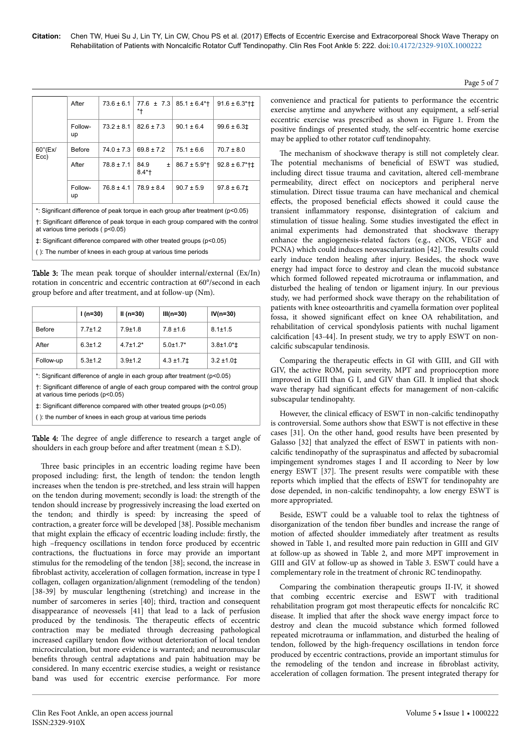|                                                                                 | After         | $73.6 \pm 6.1$ | *†                      | $77.6 \pm 7.3$ 85.1 ± 6.4*+   | $91.6 \pm 6.3$ *†‡                       |
|---------------------------------------------------------------------------------|---------------|----------------|-------------------------|-------------------------------|------------------------------------------|
|                                                                                 | Follow-<br>up | $73.2 \pm 8.1$ | $82.6 \pm 7.3$          | $90.1 \pm 6.4$                | $99.6 \pm 6.3$                           |
| $60^\circ$ (Ex/<br>Ecc)                                                         | Before        | $74.0 \pm 7.3$ | $69.8 \pm 7.2$          | $75.1 \pm 6.6$                | $70.7 \pm 8.0$                           |
|                                                                                 | After         | $78.8 \pm 7.1$ | 84.9<br>$\pm$<br>$8.4*$ | $86.7 \pm 5.9$ <sup>*</sup> t | $92.8 \pm 6.7$ <sup>*</sup> $\uparrow$ ± |
|                                                                                 | Follow-<br>up | $76.8 \pm 4.1$ | $78.9 \pm 8.4$          | $90.7 \pm 5.9$                | $97.8 \pm 6.7$ ±                         |
| *: Significant difference of peak torque in each group after treatment (p<0.05) |               |                |                         |                               |                                          |

†: Significant difference of peak torque in each group compared with the control at various time periods ( p<0.05)

‡: Significant difference compared with other treated groups (p<0.05)

( ): The number of knees in each group at various time periods

Table 3: The mean peak torque of shoulder internal/external (Ex/In) rotation in concentric and eccentric contraction at 60°/second in each group before and after treatment, and at follow-up (Nm).

|               | $1(n=30)$     | $II(n=30)$      | $III(n=30)$     | $IV(n=30)$     |  |
|---------------|---------------|-----------------|-----------------|----------------|--|
| <b>Before</b> | $7.7 \pm 1.2$ | $7.9 + 1.8$     | $7.8 \pm 1.6$   | $8.1 \pm 1.5$  |  |
| After         | $6.3 \pm 1.2$ | $4.7 \pm 1.2$ * | $5.0 \pm 1.7$ * | $3.8 \pm 1.0*$ |  |
| Follow-up     | $5.3 + 1.2$   | $3.9 + 1.2$     | $4.3 \pm 1.7$   | $3.2 \pm 1.0$  |  |
| .<br>.        |               |                 |                 |                |  |

\*: Significant difference of angle in each group after treatment (p<0.05)

†: Significant difference of angle of each group compared with the control group at various time periods (p<0.05)

‡: Significant difference compared with other treated groups (p<0.05)

( ): the number of knees in each group at various time periods

Table 4: The degree of angle difference to research a target angle of shoulders in each group before and after treatment (mean  $\pm$  S.D).

Three basic principles in an eccentric loading regime have been proposed including: first, the length of tendon: the tendon length increases when the tendon is pre-stretched, and less strain will happen on the tendon during movement; secondly is load: the strength of the tendon should increase by progressively increasing the load exerted on the tendon; and thirdly is speed: by increasing the speed of contraction, a greater force will be developed [38]. Possible mechanism that might explain the efficacy of eccentric loading include: firstly, the high –frequency oscillations in tendon force produced by eccentric contractions, the fluctuations in force may provide an important stimulus for the remodeling of the tendon [38]; second, the increase in fibroblast activity, acceleration of collagen formation, increase in type I collagen, collagen organization/alignment (remodeling of the tendon) [38-39] by muscular lengthening (stretching) and increase in the number of sarcomeres in series [40]; third, traction and consequent disappearance of neovessels [41] that lead to a lack of perfusion produced by the tendinosis. The therapeutic effects of eccentric contraction may be mediated through decreasing pathological increased capillary tendon flow without deterioration of local tendon microcirculation, but more evidence is warranted; and neuromuscular benefits through central adaptations and pain habituation may be considered. In many eccentric exercise studies, a weight or resistance band was used for eccentric exercise performance. For more convenience and practical for patients to performance the eccentric exercise anytime and anywhere without any equipment, a self-serial eccentric exercise was prescribed as shown in Figure 1. From the positive findings of presented study, the self-eccentric home exercise may be applied to other rotator cuff tendinopahty.

The mechanism of shockwave therapy is still not completely clear. The potential mechanisms of beneficial of ESWT was studied, including direct tissue trauma and cavitation, altered cell-membrane permeability, direct effect on nociceptors and peripheral nerve stimulation. Direct tissue trauma can have mechanical and chemical effects, the proposed beneficial effects showed it could cause the transient inflammatory response, disintegration of calcium and stimulation of tissue healing. Some studies investigated the effect in animal experiments had demonstrated that shockwave therapy enhance the angiogenesis-related factors (e.g., eNOS, VEGF and PCNA) which could induces neovascularization [42]. The results could early induce tendon healing after injury. Besides, the shock wave energy had impact force to destroy and clean the mucoid substance which formed followed repeated microtrauma or inflammation, and disturbed the healing of tendon or ligament injury. In our previous study, we had performed shock wave therapy on the rehabilitation of patients with knee osteoarthritis and cyamella formation over popliteal fossa, it showed significant effect on knee OA rehabilitation, and rehabilitation of cervical spondylosis patients with nuchal ligament calcification [43-44]. In present study, we try to apply ESWT on noncalcific subscapular tendinosis.

Comparing the therapeutic effects in GI with GIII, and GII with GIV, the active ROM, pain severity, MPT and proprioception more improved in GIII than G I, and GIV than GII. It implied that shock wave therapy had significant effects for management of non-calcific subscapular tendinopahty.

However, the clinical efficacy of ESWT in non-calcific tendinopathy is controversial. Some authors show that ESWT is not effective in these cases [31]. On the other hand, good results have been presented by Galasso [32] that analyzed the effect of ESWT in patients with noncalcific tendinopathy of the supraspinatus and affected by subacromial impingement syndromes stages I and II according to Neer by low energy ESWT [37]. Нe present results were compatible with these reports which implied that the effects of ESWT for tendinopahty are dose depended, in non-calcific tendinopahty, a low energy ESWT is more appropriated.

Beside, ESWT could be a valuable tool to relax the tightness of disorganization of the tendon fiber bundles and increase the range of motion of affected shoulder immediately after treatment as results showed in Table 1, and resulted more pain reduction in GIII and GIV at follow-up as showed in Table 2, and more MPT improvement in GIII and GIV at follow-up as showed in Table 3. ESWT could have a complementary role in the treatment of chronic RC tendinopathy.

Comparing the combination therapeutic groups II-IV, it showed that combing eccentric exercise and ESWT with traditional rehabilitation program got most therapeutic effects for noncalcific RC disease. It implied that after the shock wave energy impact force to destroy and clean the mucoid substance which formed followed repeated microtrauma or inflammation, and disturbed the healing of tendon, followed by the high-frequency oscillations in tendon force produced by eccentric contractions, provide an important stimulus for the remodeling of the tendon and increase in fibroblast activity, acceleration of collagen formation. Нe present integrated therapy for

Page 5 of 7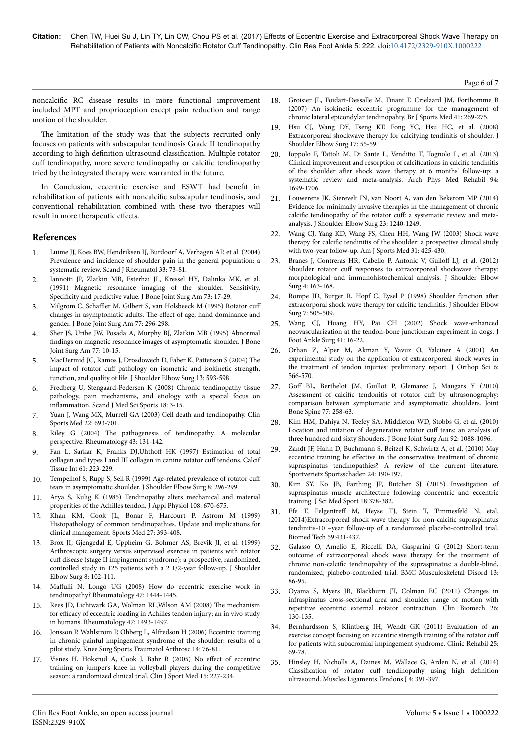noncalcific RC disease results in more functional improvement included MPT and proprioception except pain reduction and range motion of the shoulder.

The limitation of the study was that the subjects recruited only focuses on patients with subscapular tendinosis Grade II tendinopathy according to high definition ultrasound classification. Multiple rotator cuff tendinopathy, more severe tendinopathy or calcific tendinopathy tried by the integrated therapy were warranted in the future.

In Conclusion, eccentric exercise and ESWT had benefit in rehabilitation of patients with noncalcific subscapular tendinosis, and conventional rehabilitation combined with these two therapies will result in more therapeutic effects.

#### **References**

- Luime JJ, Koes BW, Hendriksen IJ, Burdoorf A, Verhagen AP, et al. (2004) Prevalence and incidence of shoulder pain in the general population: a systematic review. Scand J Rheumatol 33: 73-81.
- 2. Iannotti JP, Zlatkin MB, Esterhai JL, Kressel HY, Dalinka MK, et al. (1991) Magnetic resonance imaging of the shoulder. Sensitivity, 6pecificity and predictive value. J Bone Joint Surg Am 73: 17-29.
- 3. Milgrom C, Schaffler M, Gilbert S, van Holsbeeck M (1995) Rotator cuff changes in asymptomatic adults. The effect of age, hand dominance and gender. J Bone Joint Surg Am 77: 296-298.
- 4. Sher JS, Uribe JW, Posada A, Murphy BJ, Zlatkin MB (1995) Abnormal findings on magnetic resonance images of asymptomatic shoulder. J Bone Joint Surg Am 77: 10-15.
- 5. [MacDermid JC, Ramos J, Drosdowech D, Faber K, Patterson S \(2004\)](https://dx.doi.org/10.1016/S1058274604001247) The impact of rotator cuff [pathology on isometric and isokinetic strength,](https://dx.doi.org/10.1016/S1058274604001247) [function, and quality of life. J Shoulder Elbow Surg 13: 593-598.](https://dx.doi.org/10.1016/S1058274604001247)
- 6. [Fredberg U, Stengaard-Pedersen K \(2008\) Chronic tendinopathy tissue](https://dx.doi.org/10.1111/j.1600-0838.2007.00746.x) [pathology, pain mechanisms, and etiology with a special focus on](https://dx.doi.org/10.1111/j.1600-0838.2007.00746.x) inflammation. [Scand J Med Sci Sports 18: 3-15.](https://dx.doi.org/10.1111/j.1600-0838.2007.00746.x)
- 7. [Yuan J, Wang MX, Murrell GA \(2003\) Cell death and tendinopathy. Clin](http://dx.doi.org/10.1016/S0278-5919(03)00049-8) [Sports Med 22: 693-701.](http://dx.doi.org/10.1016/S0278-5919(03)00049-8)
- 8. Riley G (2004) Нe [pathogenesis of tendinopathy. A molecular](https://dx.doi.org/10.1093/rheumatology/keg448) [perspective. Rheumatology 43: 131-142.](https://dx.doi.org/10.1093/rheumatology/keg448)
- 9. Fan L, Sarkar K, Franks DJ, Uhthoff HK (1997) Estimation of total collagen and types I and III collagen in canine rotator cuff tendons. Calcif Tissue Int 61: 223-229.
- 10. Tempelhof S, Rupp S, Seil R (1999) Age-related prevalence of rotator cuff tears in asymptomatic shoulder. J Shoulder Elbow Surg 8: 296-299.
- 11. Arya S, Kulig K (1985) Tendinopathy alters mechanical and material properities of the Achilles tendon. J Appl Physiol 108: 670-675.
- 12. Khan KM, Cook JL, Bonar F, Harcourt P, Astrom M (1999) Histopathology of common tendinopathies. Update and implications for clinical management. Sports Med 27: 393-408.
- 13. Brox JI, Gjengedal E, Uppheim G, Bohmer AS, Brevik JI, et al. (1999) Arthroscopic surgery versus supervised exercise in patients with rotator cuff disease (stage II impingement syndrome): a prospective, randomized, controlled study in 125 patients with a 2 1/2-year follow-up. J Shoulder Elbow Surg 8: 102-111.
- 14. Maffulli N, Longo UG (2008) How do eccentric exercise work in tendinopathy? Rheumatology 47: 1444-1445.
- 15. [Rees JD, Lichtwark GA, Wolman RL,Wilson AM \(2008\)](https://dx.doi.org/10.1093/rheumatology/ken262) Нe mechanism for efficacy [of eccentric loading in Achilles tendon injury; an in vivo study](https://dx.doi.org/10.1093/rheumatology/ken262) [in humans. Rheumatology 47: 1493-1497.](https://dx.doi.org/10.1093/rheumatology/ken262)
- 16. [Jonsson P, Wahlstrom P, Ohberg L, Alfredson H](https://dx.doi.org/10.1007/s00167-004-0611-8) (2006) Eccentric training [in chronic painful impingement syndrome of the shoulder: results of a](https://dx.doi.org/10.1007/s00167-004-0611-8) [pilot study. Knee Surg Sports Traumatol Arthrosc 14: 76-81.](https://dx.doi.org/10.1007/s00167-004-0611-8)
- 17. [Visnes H, Hoksrud A, Cook J, Bahr R \(2005\) No](http://meta.wkhealth.com/pt/pt-core/template-journal/lwwgateway/media/landingpage.htm?issn=1050-642X&volume=15&issue=4&spage=227) effect of eccentric [training on jumper's knee in volleyball players during the competitive](http://meta.wkhealth.com/pt/pt-core/template-journal/lwwgateway/media/landingpage.htm?issn=1050-642X&volume=15&issue=4&spage=227) [season: a randomized clinical trial. Clin J Sport Med 15: 227-234.](http://meta.wkhealth.com/pt/pt-core/template-journal/lwwgateway/media/landingpage.htm?issn=1050-642X&volume=15&issue=4&spage=227)
- 18. [Groisier JL, Foidart-Dessalle M, Tinant F, Crielaard JM, Forthomme B](https://dx.doi.org/10.1136%2Fbjsm.2006.033324) [\(2007\) An isokinetic eccentric programme for the management of](https://dx.doi.org/10.1136%2Fbjsm.2006.033324) [chronic lateral epicondylar tendinopahty. Br J Sports Med 41: 269-275.](https://dx.doi.org/10.1136%2Fbjsm.2006.033324)
- 19. [Hsu CJ, Wang DY, Tseng KF, Fong YC, Hsu HC, et al. \(2008\)](https://dx.doi.org/10.1016/j.jse.2007.03.023) [Extracorporeal shockwave therapy for calcifying tendinitis of shoulder. J](https://dx.doi.org/10.1016/j.jse.2007.03.023) [Shoulder Elbow Surg 17: 55-59.](https://dx.doi.org/10.1016/j.jse.2007.03.023)
- 20. [Ioppolo F, Tattoli M, Di Sante L, Venditto T, Tognolo L, et al. \(2013\)](https://dx.doi.org/10.1016/j.apmr.2013.01.030) [Clinical improvement and resorption of](https://dx.doi.org/10.1016/j.apmr.2013.01.030) calcifications in calcific tendinitis of the shoulder after [shock wave therapy at 6 months' follow-up: a](https://dx.doi.org/10.1016/j.apmr.2013.01.030) [systematic review and meta-analysis. Arch Phys Med Rehabil 94:](https://dx.doi.org/10.1016/j.apmr.2013.01.030) [1699-1706.](https://dx.doi.org/10.1016/j.apmr.2013.01.030)
- 21. [Louwerens JK, Sierevelt IN, van Noort A, van den Bekerom MP \(2014\)](https://dx.doi.org/10.1016/j.jse.2014.02.002) [Evidence for minimally invasive therapies in the management of chronic](https://dx.doi.org/10.1016/j.jse.2014.02.002) calcific tendinopathy of the rotator cuff: [a systematic review and meta](https://dx.doi.org/10.1016/j.jse.2014.02.002)[analysis. J Shoulder Elbow Surg 23: 1240-1249.](https://dx.doi.org/10.1016/j.jse.2014.02.002)
- 22. Wang CJ, Yang KD, Wang FS, Chen HH, Wang JW (2003) Shock wave therapy for calcific tendinitis of the shoulder: a prospective clinical study with two-year follow-up. Am J Sports Med 31: 425-430.
- 23. Branes J, Contreras HR, Cabello P, Antonic V, Guiloff LJ, et al. (2012) Shoulder rotator cuff responses to extracorporeal shockwave therapy: morphological and immunohistochemical analysis. J Shoulder Elbow Surg 4: 163-168.
- 24. [Rompe JD, Burger R, Hopf C, Eysel P \(1998\) Shoulder function](http://dx.doi.org/10.1016/S1058-2746(98)90203-8) after [extracorporal shock wave therapy for](http://dx.doi.org/10.1016/S1058-2746(98)90203-8) calcific tendinitis. J Shoulder Elbow [Surg 7: 505-509.](http://dx.doi.org/10.1016/S1058-2746(98)90203-8)
- 25. Wang CJ, Huang HY, Pai CH (2002) Shock wave-enhanced neovascularization at the tendon-bone junction:an experiment in dogs. J Foot Ankle Surg 41: 16-22.
- 26. [Orhan Z, Alper M, Akman Y, Yavuz O, Yalciner A \(2001\) An](https://dx.doi.org/10.1007/s007760100013) [experimental study on the application of extracorporeal shock waves in](https://dx.doi.org/10.1007/s007760100013) [the treatment of tendon injuries: preliminary report. J Orthop Sci 6:](https://dx.doi.org/10.1007/s007760100013) [566-570.](https://dx.doi.org/10.1007/s007760100013)
- 27. Goff [BL, Berthelot JM, Guillot P, Glemarec J, Maugars Y \(2010\)](https://dx.doi.org/10.1016/j.jbspin.2010.01.012) Assessment of calcific [tendonitis of rotator](https://dx.doi.org/10.1016/j.jbspin.2010.01.012) cuff by ultrasonography: [comparison between symptomatic and asymptomatic shoulders. Joint](https://dx.doi.org/10.1016/j.jbspin.2010.01.012) [Bone Spine 77: 258-63.](https://dx.doi.org/10.1016/j.jbspin.2010.01.012)
- 28. [Kim HM, Dahiya N, Teefey SA, Middleton WD, Stobbs G, et al. \(2010\)](https://dx.doi.org/10.2106/JBJS.I.00686) [Location and initation of degenerative rotator](https://dx.doi.org/10.2106/JBJS.I.00686) cuff tears: an analysis of [three hundred and sixty Shouders. J Bone Joint Surg Am 92: 1088-1096.](https://dx.doi.org/10.2106/JBJS.I.00686)
- 29. [Zandt JF, Hahn D, Buchmann S, Beitzel K, Schwirtz A, et al. \(2010\) May](https://dx.doi.org/10.1055/s-0029-1245816) eccentric training be effective [in the conservative treatment of chronic](https://dx.doi.org/10.1055/s-0029-1245816) [supraspinatus tendinopathies? A review of the current literature.](https://dx.doi.org/10.1055/s-0029-1245816) [Sportverietz Sportsschaden 24: 190-197.](https://dx.doi.org/10.1055/s-0029-1245816)
- 30. [Kim SY, Ko JB, Farthing JP, Butcher SJ \(2015\) Investigation of](https://dx.doi.org/10.1016/j.jsams.2014.05.007) [supraspinatus muscle architecture following concentric and eccentric](https://dx.doi.org/10.1016/j.jsams.2014.05.007) [training. J Sci Med Sport 18:378-382.](https://dx.doi.org/10.1016/j.jsams.2014.05.007)
- 31. Efe T, Felgentreff [M, Heyse TJ, Stein T, Timmesfeld N, etal.](https://dx.doi.org/10.1515/bmt-2013-0135) [\(2014\)Extracorporeal shock wave therapy for](https://dx.doi.org/10.1515/bmt-2013-0135) non-calcific supraspinatus [tendinitis-10 –year follow-up of a randomized placebo-controlled trial.](https://dx.doi.org/10.1515/bmt-2013-0135) [Biomed Tech 59:431-437.](https://dx.doi.org/10.1515/bmt-2013-0135)
- 32. [Galasso O, Amelio E, Riccelli DA, Gasparini G \(2012\) Short-term](https://dx.doi.org/10.1186/1471-2474-13-86) [outcome of extracorporeal shock wave therapy for the treatment of](https://dx.doi.org/10.1186/1471-2474-13-86) chronic non-calcific [tendinopahty of the supraspinatus: a double-blind,](https://dx.doi.org/10.1186/1471-2474-13-86) [randomized, plabebo-controlled trial. BMC Musculoskeletal Disord 13:](https://dx.doi.org/10.1186/1471-2474-13-86) [86-95.](https://dx.doi.org/10.1186/1471-2474-13-86)
- 33. [Oyama S, Myers JB, Blackburn JT, Colman EC \(2011\) Changes in](https://dx.doi.org/10.1016/j.clinbiomech.2010.09.018) [infraspinatus cross-sectional area and shoulder range of motion with](https://dx.doi.org/10.1016/j.clinbiomech.2010.09.018) [repetitive eccentric external rotator contraction. Clin Biomech 26:](https://dx.doi.org/10.1016/j.clinbiomech.2010.09.018) [130-135.](https://dx.doi.org/10.1016/j.clinbiomech.2010.09.018)
- 34. [Bernhardsson S, Klintberg IH, Wendt GK \(2011\) Evaluation of an](https://dx.doi.org/10.1177/0269215510376005) [exercise concept focusing on eccentric strength training of the rotator](https://dx.doi.org/10.1177/0269215510376005) cuff [for patients with subacromial impingement syndrome. Clinic Rehabil 25:](https://dx.doi.org/10.1177/0269215510376005) [69-78.](https://dx.doi.org/10.1177/0269215510376005)
- 35. Hinsley H, Nicholls A, Daines M, Wallace G, Arden N, et al. (2014) Classification of rotator cuff tendinopathy using high definition ultrasound. Muscles Ligaments Tendons J 4: 391-397.

Page 6 of 7